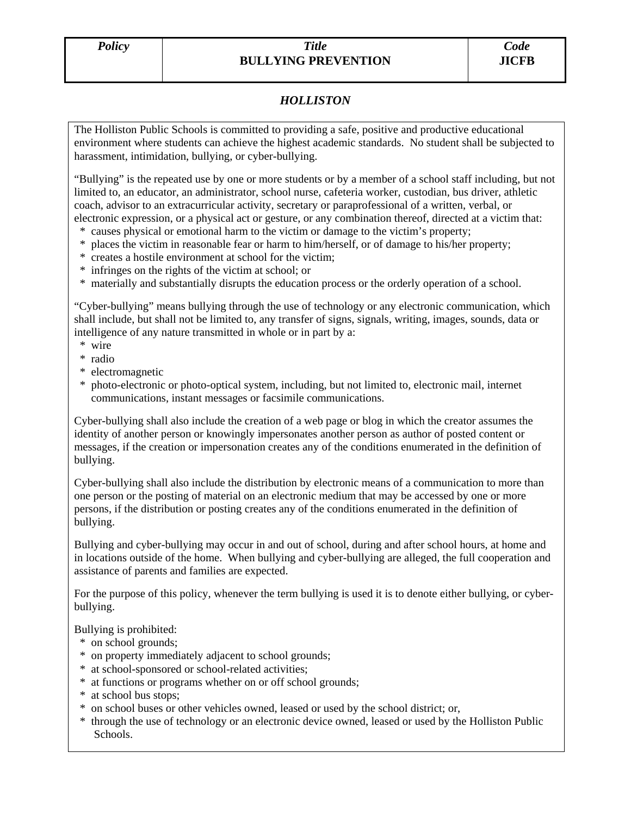# *Policy Title*  **BULLYING PREVENTION**

# *HOLLISTON*

The Holliston Public Schools is committed to providing a safe, positive and productive educational environment where students can achieve the highest academic standards. No student shall be subjected to harassment, intimidation, bullying, or cyber-bullying.

"Bullying" is the repeated use by one or more students or by a member of a school staff including, but not limited to, an educator, an administrator, school nurse, cafeteria worker, custodian, bus driver, athletic coach, advisor to an extracurricular activity, secretary or paraprofessional of a written, verbal, or electronic expression, or a physical act or gesture, or any combination thereof, directed at a victim that:

- \* causes physical or emotional harm to the victim or damage to the victim's property;
- \* places the victim in reasonable fear or harm to him/herself, or of damage to his/her property;
- \* creates a hostile environment at school for the victim;
- \* infringes on the rights of the victim at school; or
- \* materially and substantially disrupts the education process or the orderly operation of a school.

"Cyber-bullying" means bullying through the use of technology or any electronic communication, which shall include, but shall not be limited to, any transfer of signs, signals, writing, images, sounds, data or intelligence of any nature transmitted in whole or in part by a:

- \* wire
- \* radio
- \* electromagnetic
- \* photo-electronic or photo-optical system, including, but not limited to, electronic mail, internet communications, instant messages or facsimile communications.

Cyber-bullying shall also include the creation of a web page or blog in which the creator assumes the identity of another person or knowingly impersonates another person as author of posted content or messages, if the creation or impersonation creates any of the conditions enumerated in the definition of bullying.

Cyber-bullying shall also include the distribution by electronic means of a communication to more than one person or the posting of material on an electronic medium that may be accessed by one or more persons, if the distribution or posting creates any of the conditions enumerated in the definition of bullying.

Bullying and cyber-bullying may occur in and out of school, during and after school hours, at home and in locations outside of the home. When bullying and cyber-bullying are alleged, the full cooperation and assistance of parents and families are expected.

For the purpose of this policy, whenever the term bullying is used it is to denote either bullying, or cyberbullying.

Bullying is prohibited:

- \* on school grounds;
- \* on property immediately adjacent to school grounds;
- \* at school-sponsored or school-related activities;
- \* at functions or programs whether on or off school grounds;
- \* at school bus stops;
- \* on school buses or other vehicles owned, leased or used by the school district; or,
- \* through the use of technology or an electronic device owned, leased or used by the Holliston Public Schools.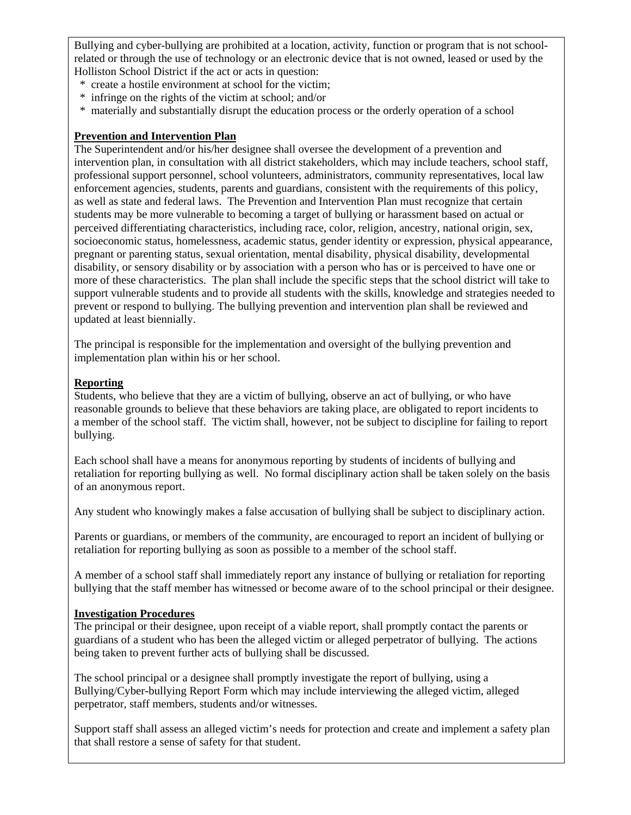Bullying and cyber-bullying are prohibited at a location, activity, function or program that is not schoolrelated or through the use of technology or an electronic device that is not owned, leased or used by the Holliston School District if the act or acts in question:

- \* create a hostile environment at school for the victim;
- \* infringe on the rights of the victim at school; and/or
- \* materially and substantially disrupt the education process or the orderly operation of a school

## **Prevention and Intervention Plan**

The Superintendent and/or his/her designee shall oversee the development of a prevention and intervention plan, in consultation with all district stakeholders, which may include teachers, school staff, professional support personnel, school volunteers, administrators, community representatives, local law enforcement agencies, students, parents and guardians, consistent with the requirements of this policy, as well as state and federal laws. The Prevention and Intervention Plan must recognize that certain students may be more vulnerable to becoming a target of bullying or harassment based on actual or perceived differentiating characteristics, including race, color, religion, ancestry, national origin, sex, socioeconomic status, homelessness, academic status, gender identity or expression, physical appearance, pregnant or parenting status, sexual orientation, mental disability, physical disability, developmental disability, or sensory disability or by association with a person who has or is perceived to have one or more of these characteristics. The plan shall include the specific steps that the school district will take to support vulnerable students and to provide all students with the skills, knowledge and strategies needed to prevent or respond to bullying. The bullying prevention and intervention plan shall be reviewed and updated at least biennially.

The principal is responsible for the implementation and oversight of the bullying prevention and implementation plan within his or her school.

## **Reporting**

Students, who believe that they are a victim of bullying, observe an act of bullying, or who have reasonable grounds to believe that these behaviors are taking place, are obligated to report incidents to a member of the school staff. The victim shall, however, not be subject to discipline for failing to report bullying.

Each school shall have a means for anonymous reporting by students of incidents of bullying and retaliation for reporting bullying as well. No formal disciplinary action shall be taken solely on the basis of an anonymous report.

Any student who knowingly makes a false accusation of bullying shall be subject to disciplinary action.

Parents or guardians, or members of the community, are encouraged to report an incident of bullying or retaliation for reporting bullying as soon as possible to a member of the school staff.

A member of a school staff shall immediately report any instance of bullying or retaliation for reporting bullying that the staff member has witnessed or become aware of to the school principal or their designee.

## **Investigation Procedures**

The principal or their designee, upon receipt of a viable report, shall promptly contact the parents or guardians of a student who has been the alleged victim or alleged perpetrator of bullying. The actions being taken to prevent further acts of bullying shall be discussed.

The school principal or a designee shall promptly investigate the report of bullying, using a Bullying/Cyber-bullying Report Form which may include interviewing the alleged victim, alleged perpetrator, staff members, students and/or witnesses.

Support staff shall assess an alleged victim's needs for protection and create and implement a safety plan that shall restore a sense of safety for that student.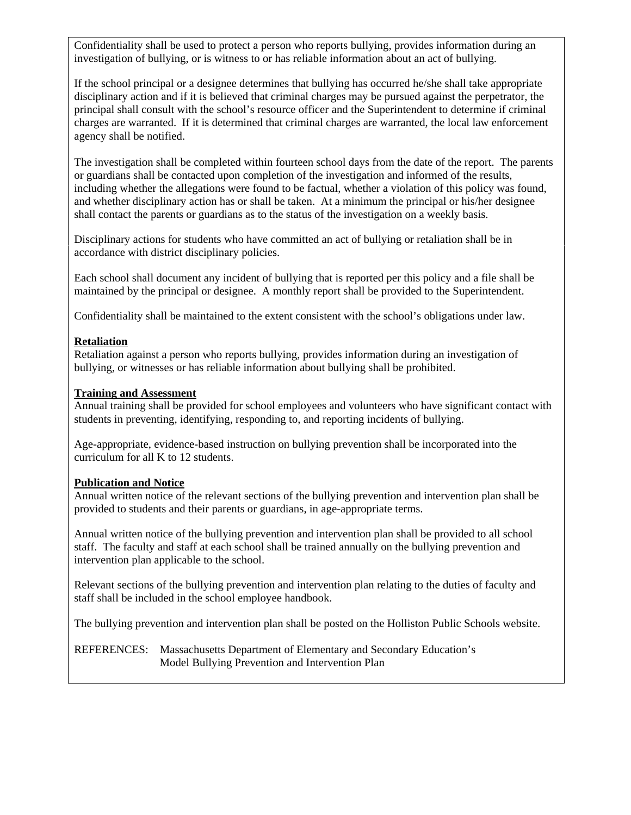Confidentiality shall be used to protect a person who reports bullying, provides information during an investigation of bullying, or is witness to or has reliable information about an act of bullying.

If the school principal or a designee determines that bullying has occurred he/she shall take appropriate disciplinary action and if it is believed that criminal charges may be pursued against the perpetrator, the principal shall consult with the school's resource officer and the Superintendent to determine if criminal charges are warranted. If it is determined that criminal charges are warranted, the local law enforcement agency shall be notified.

The investigation shall be completed within fourteen school days from the date of the report. The parents or guardians shall be contacted upon completion of the investigation and informed of the results, including whether the allegations were found to be factual, whether a violation of this policy was found, and whether disciplinary action has or shall be taken. At a minimum the principal or his/her designee shall contact the parents or guardians as to the status of the investigation on a weekly basis.

Disciplinary actions for students who have committed an act of bullying or retaliation shall be in accordance with district disciplinary policies.

Each school shall document any incident of bullying that is reported per this policy and a file shall be maintained by the principal or designee. A monthly report shall be provided to the Superintendent.

Confidentiality shall be maintained to the extent consistent with the school's obligations under law.

#### **Retaliation**

Retaliation against a person who reports bullying, provides information during an investigation of bullying, or witnesses or has reliable information about bullying shall be prohibited.

#### **Training and Assessment**

Annual training shall be provided for school employees and volunteers who have significant contact with students in preventing, identifying, responding to, and reporting incidents of bullying.

Age-appropriate, evidence-based instruction on bullying prevention shall be incorporated into the curriculum for all K to 12 students.

## **Publication and Notice**

Annual written notice of the relevant sections of the bullying prevention and intervention plan shall be provided to students and their parents or guardians, in age-appropriate terms.

Annual written notice of the bullying prevention and intervention plan shall be provided to all school staff. The faculty and staff at each school shall be trained annually on the bullying prevention and intervention plan applicable to the school.

Relevant sections of the bullying prevention and intervention plan relating to the duties of faculty and staff shall be included in the school employee handbook.

The bullying prevention and intervention plan shall be posted on the Holliston Public Schools website.

REFERENCES: Massachusetts Department of Elementary and Secondary Education's Model Bullying Prevention and Intervention Plan